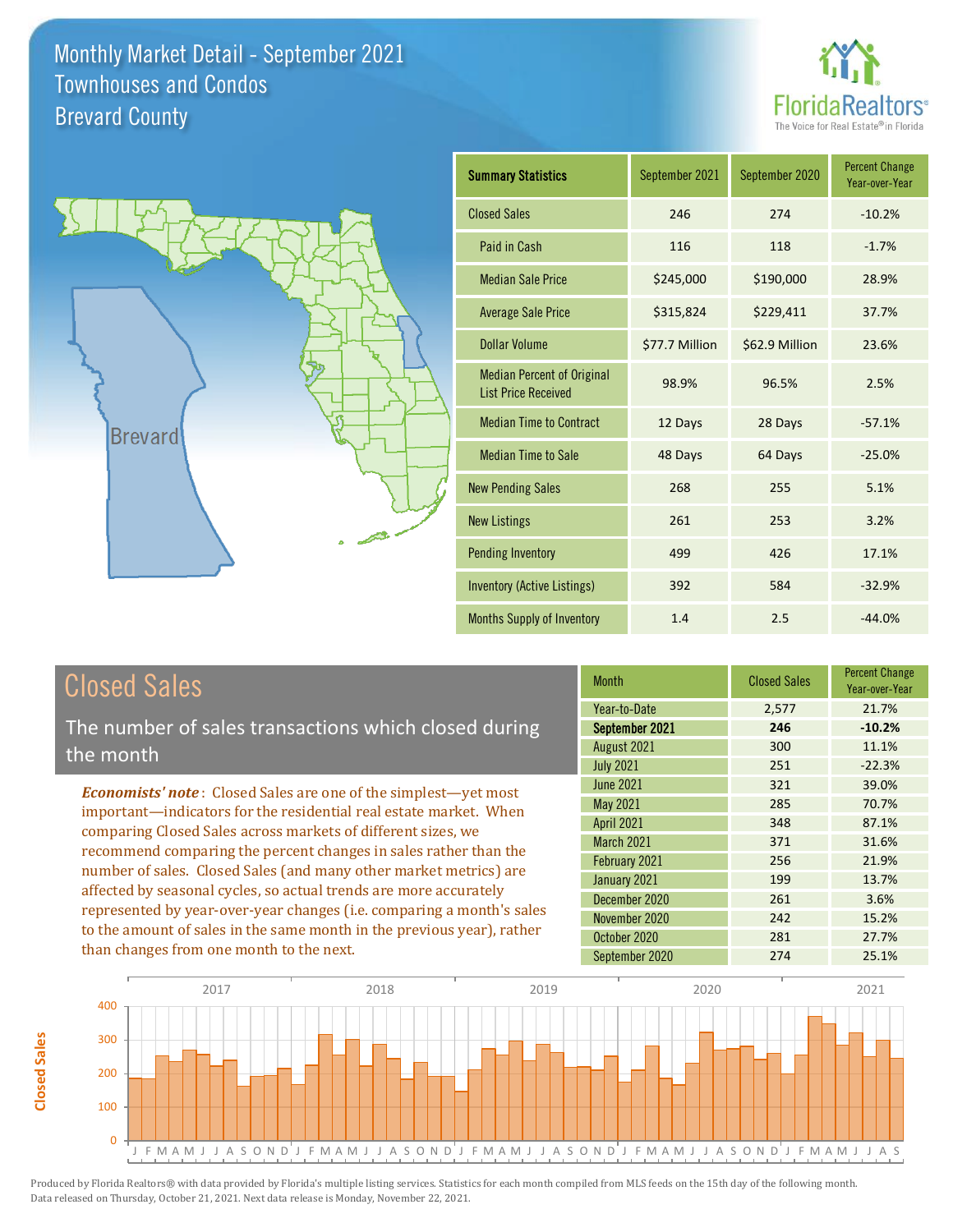



| <b>Summary Statistics</b>                                       | September 2021 | September 2020 | <b>Percent Change</b><br>Year-over-Year |
|-----------------------------------------------------------------|----------------|----------------|-----------------------------------------|
| <b>Closed Sales</b>                                             | 246            | 274            | $-10.2%$                                |
| Paid in Cash                                                    | 116            | 118            | $-1.7%$                                 |
| <b>Median Sale Price</b>                                        | \$245,000      | \$190,000      | 28.9%                                   |
| <b>Average Sale Price</b>                                       | \$315,824      | \$229,411      | 37.7%                                   |
| <b>Dollar Volume</b>                                            | \$77.7 Million | \$62.9 Million | 23.6%                                   |
| <b>Median Percent of Original</b><br><b>List Price Received</b> | 98.9%          | 96.5%          | 2.5%                                    |
| <b>Median Time to Contract</b>                                  | 12 Days        | 28 Days        | $-57.1%$                                |
| <b>Median Time to Sale</b>                                      | 48 Days        | 64 Days        | $-25.0%$                                |
| <b>New Pending Sales</b>                                        | 268            | 255            | 5.1%                                    |
| <b>New Listings</b>                                             | 261            | 253            | 3.2%                                    |
| <b>Pending Inventory</b>                                        | 499            | 426            | 17.1%                                   |
| Inventory (Active Listings)                                     | 392            | 584            | $-32.9%$                                |
| <b>Months Supply of Inventory</b>                               | 1.4            | 2.5            | $-44.0%$                                |

## Closed Sales

**Closed Sales**

**Closed Sales** 

The number of sales transactions which closed during the month

*Economists' note* : Closed Sales are one of the simplest—yet most important—indicators for the residential real estate market. When comparing Closed Sales across markets of different sizes, we recommend comparing the percent changes in sales rather than the number of sales. Closed Sales (and many other market metrics) are affected by seasonal cycles, so actual trends are more accurately represented by year-over-year changes (i.e. comparing a month's sales to the amount of sales in the same month in the previous year), rather than changes from one month to the next.

| <b>Month</b>      | <b>Closed Sales</b> | <b>Percent Change</b><br>Year-over-Year |
|-------------------|---------------------|-----------------------------------------|
| Year-to-Date      | 2,577               | 21.7%                                   |
| September 2021    | 246                 | $-10.2%$                                |
| August 2021       | 300                 | 11.1%                                   |
| <b>July 2021</b>  | 251                 | $-22.3%$                                |
| <b>June 2021</b>  | 321                 | 39.0%                                   |
| May 2021          | 285                 | 70.7%                                   |
| <b>April 2021</b> | 348                 | 87.1%                                   |
| <b>March 2021</b> | 371                 | 31.6%                                   |
| February 2021     | 256                 | 21.9%                                   |
| January 2021      | 199                 | 13.7%                                   |
| December 2020     | 261                 | 3.6%                                    |
| November 2020     | 242                 | 15.2%                                   |
| October 2020      | 281                 | 27.7%                                   |
| September 2020    | 274                 | 25.1%                                   |

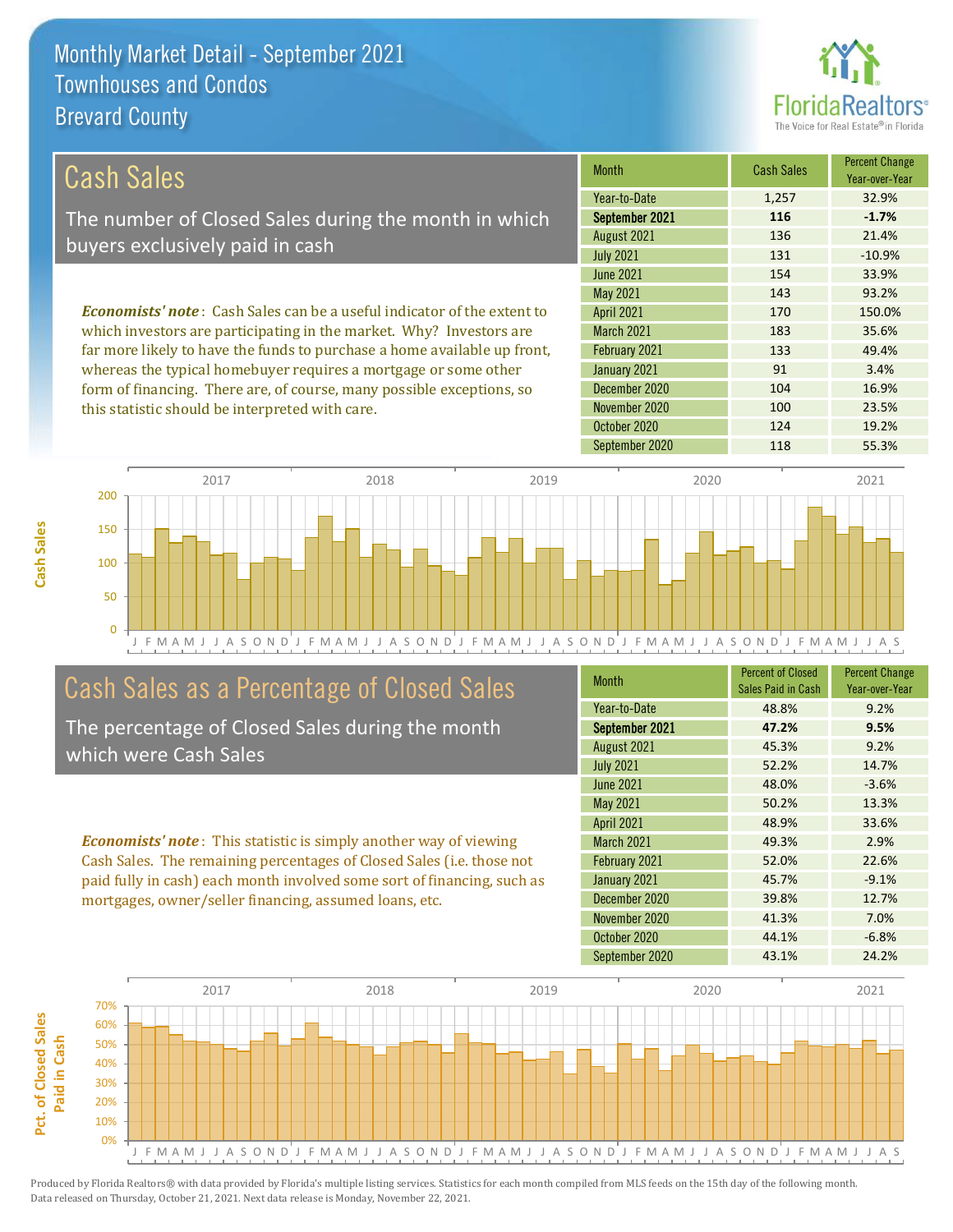this statistic should be interpreted with care.



100 23.5%

| Cash Sales                                                                     | <b>Month</b>      | <b>Cash Sales</b> | <b>Percent Change</b><br>Year-over-Year |
|--------------------------------------------------------------------------------|-------------------|-------------------|-----------------------------------------|
|                                                                                | Year-to-Date      | 1,257             | 32.9%                                   |
| The number of Closed Sales during the month in which                           | September 2021    | 116               | $-1.7%$                                 |
| buyers exclusively paid in cash                                                | August 2021       | 136               | 21.4%                                   |
|                                                                                | <b>July 2021</b>  | 131               | $-10.9%$                                |
|                                                                                | <b>June 2021</b>  | 154               | 33.9%                                   |
|                                                                                | May 2021          | 143               | 93.2%                                   |
| <b>Economists' note:</b> Cash Sales can be a useful indicator of the extent to | <b>April 2021</b> | 170               | 150.0%                                  |
| which investors are participating in the market. Why? Investors are            | <b>March 2021</b> | 183               | 35.6%                                   |
| far more likely to have the funds to purchase a home available up front,       | February 2021     | 133               | 49.4%                                   |
| whereas the typical homebuyer requires a mortgage or some other                | January 2021      | 91                | 3.4%                                    |
| form of financing. There are, of course, many possible exceptions, so          | December 2020     | 104               | 16.9%                                   |

J F M A M J J A S O N D J F M A M J J A S O N D J F M A M J J A S O N D J F M A M J J A S O N D J F M A M J J A S 0 50 100 150 200 2017 2018 2019 2020 2021

## Cash Sales as a Percentage of Closed Sales

The percentage of Closed Sales during the month which were Cash Sales

*Economists' note* : This statistic is simply another way of viewing Cash Sales. The remaining percentages of Closed Sales (i.e. those not paid fully in cash) each month involved some sort of financing, such as mortgages, owner/seller financing, assumed loans, etc.

| <b>Month</b>      | <b>Percent of Closed</b><br>Sales Paid in Cash | <b>Percent Change</b><br>Year-over-Year |
|-------------------|------------------------------------------------|-----------------------------------------|
| Year-to-Date      | 48.8%                                          | 9.2%                                    |
| September 2021    | 47.2%                                          | 9.5%                                    |
| August 2021       | 45.3%                                          | 9.2%                                    |
| <b>July 2021</b>  | 52.2%                                          | 14.7%                                   |
| <b>June 2021</b>  | 48.0%                                          | $-3.6%$                                 |
| May 2021          | 50.2%                                          | 13.3%                                   |
| <b>April 2021</b> | 48.9%                                          | 33.6%                                   |
| <b>March 2021</b> | 49.3%                                          | 2.9%                                    |
| February 2021     | 52.0%                                          | 22.6%                                   |
| January 2021      | 45.7%                                          | $-9.1%$                                 |
| December 2020     | 39.8%                                          | 12.7%                                   |
| November 2020     | 41.3%                                          | 7.0%                                    |
| October 2020      | 44.1%                                          | $-6.8%$                                 |
| September 2020    | 43.1%                                          | 24.2%                                   |

October 2020 124 124 19.2%

November 2020

September 2020 118 55.3%

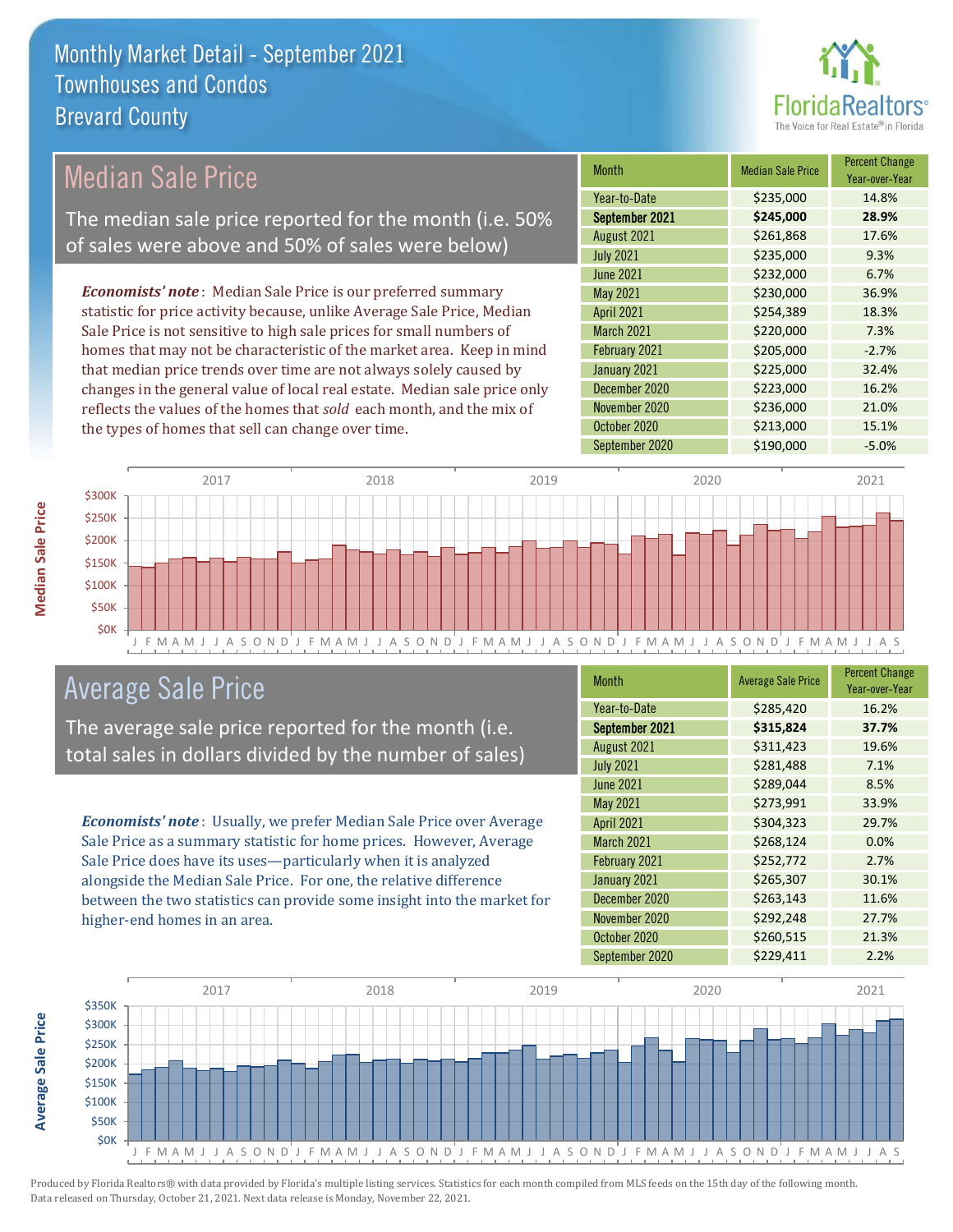

## Median Sale Price

The median sale price reported for the month (i.e. 50% of sales were above and 50% of sales were below)

*Economists' note* : Median Sale Price is our preferred summary statistic for price activity because, unlike Average Sale Price, Median Sale Price is not sensitive to high sale prices for small numbers of homes that may not be characteristic of the market area. Keep in mind that median price trends over time are not always solely caused by changes in the general value of local real estate. Median sale price only reflects the values of the homes that *sold* each month, and the mix of the types of homes that sell can change over time.

| <b>Month</b>      | <b>Median Sale Price</b> | <b>Percent Change</b><br>Year-over-Year |
|-------------------|--------------------------|-----------------------------------------|
| Year-to-Date      | \$235,000                | 14.8%                                   |
| September 2021    | \$245,000                | 28.9%                                   |
| August 2021       | \$261,868                | 17.6%                                   |
| <b>July 2021</b>  | \$235,000                | 9.3%                                    |
| <b>June 2021</b>  | \$232,000                | 6.7%                                    |
| May 2021          | \$230,000                | 36.9%                                   |
| <b>April 2021</b> | \$254,389                | 18.3%                                   |
| March 2021        | \$220,000                | 7.3%                                    |
| February 2021     | \$205,000                | $-2.7%$                                 |
| January 2021      | \$225,000                | 32.4%                                   |
| December 2020     | \$223,000                | 16.2%                                   |
| November 2020     | \$236,000                | 21.0%                                   |
| October 2020      | \$213,000                | 15.1%                                   |
| September 2020    | \$190,000                | $-5.0%$                                 |



### Average Sale Price

The average sale price reported for the month (i.e. total sales in dollars divided by the number of sales)

*Economists' note* : Usually, we prefer Median Sale Price over Average Sale Price as a summary statistic for home prices. However, Average Sale Price does have its uses—particularly when it is analyzed alongside the Median Sale Price. For one, the relative difference between the two statistics can provide some insight into the market for higher-end homes in an area.

| <b>Month</b>      | <b>Average Sale Price</b> | <b>Percent Change</b><br>Year-over-Year |
|-------------------|---------------------------|-----------------------------------------|
| Year-to-Date      | \$285,420                 | 16.2%                                   |
| September 2021    | \$315,824                 | 37.7%                                   |
| August 2021       | \$311,423                 | 19.6%                                   |
| <b>July 2021</b>  | \$281,488                 | 7.1%                                    |
| <b>June 2021</b>  | \$289,044                 | 8.5%                                    |
| May 2021          | \$273,991                 | 33.9%                                   |
| <b>April 2021</b> | \$304,323                 | 29.7%                                   |
| <b>March 2021</b> | \$268,124                 | 0.0%                                    |
| February 2021     | \$252,772                 | 2.7%                                    |
| January 2021      | \$265,307                 | 30.1%                                   |
| December 2020     | \$263,143                 | 11.6%                                   |
| November 2020     | \$292,248                 | 27.7%                                   |
| October 2020      | \$260,515                 | 21.3%                                   |
| September 2020    | \$229,411                 | 2.2%                                    |



**Median Sale Price** 

**Average Sale Price**

**Average Sale Price**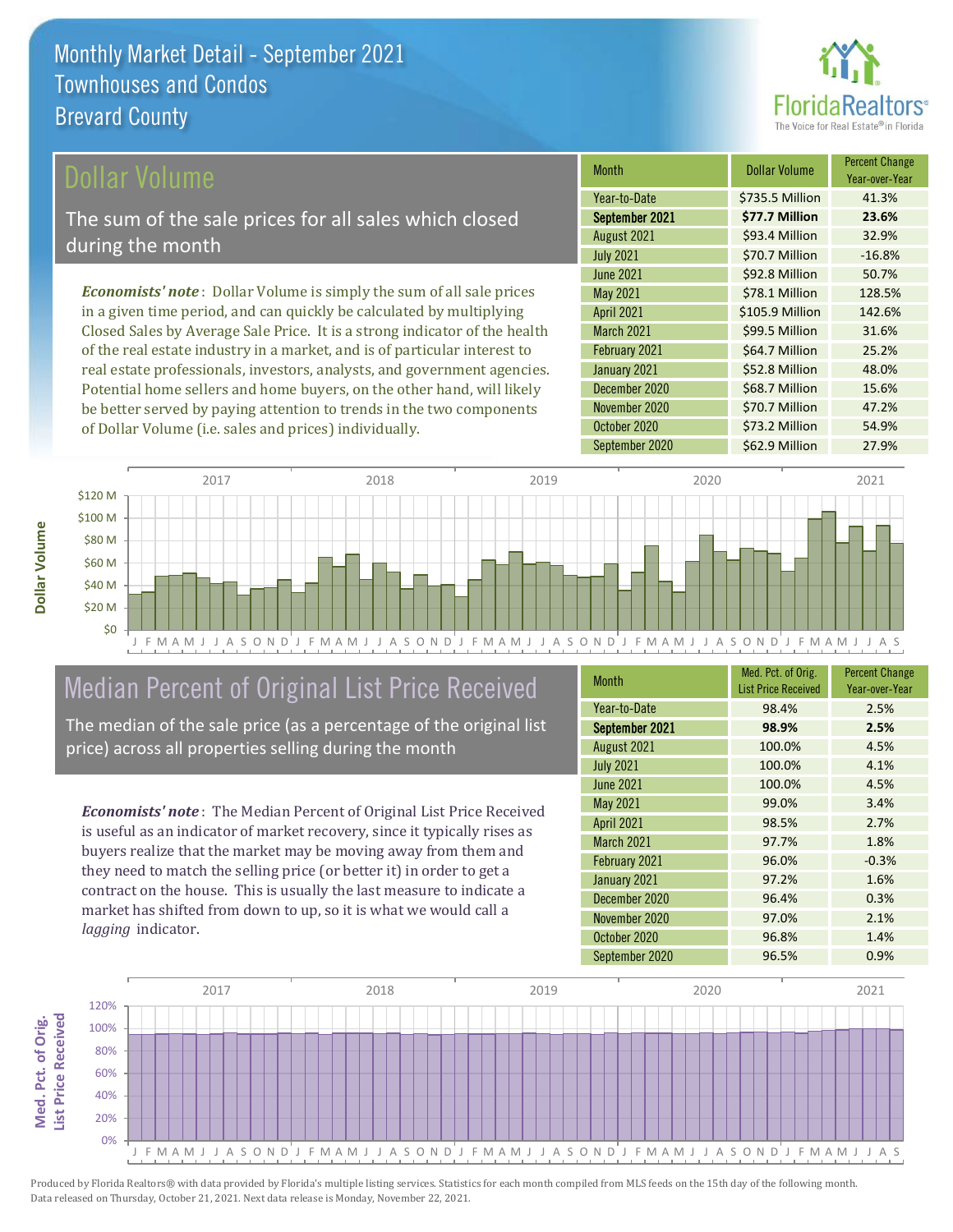

Year-over-Year

### ollar Volume

The sum of the sale prices for all sales which closed during the month

*Economists' note* : Dollar Volume is simply the sum of all sale prices in a given time period, and can quickly be calculated by multiplying Closed Sales by Average Sale Price. It is a strong indicator of the health of the real estate industry in a market, and is of particular interest to real estate professionals, investors, analysts, and government agencies. Potential home sellers and home buyers, on the other hand, will likely be better served by paying attention to trends in the two components of Dollar Volume (i.e. sales and prices) individually.



## Median Percent of Original List Price Received

The median of the sale price (as a percentage of the original list price) across all properties selling during the month

*Economists' note* : The Median Percent of Original List Price Received is useful as an indicator of market recovery, since it typically rises as buyers realize that the market may be moving away from them and they need to match the selling price (or better it) in order to get a contract on the house. This is usually the last measure to indicate a market has shifted from down to up, so it is what we would call a *lagging* indicator.

| <b>Month</b>      | Med. Pct. of Orig.<br><b>List Price Received</b> | <b>Percent Change</b><br>Year-over-Year |
|-------------------|--------------------------------------------------|-----------------------------------------|
| Year-to-Date      | 98.4%                                            | 2.5%                                    |
| September 2021    | 98.9%                                            | 2.5%                                    |
| August 2021       | 100.0%                                           | 4.5%                                    |
| <b>July 2021</b>  | 100.0%                                           | 4.1%                                    |
| <b>June 2021</b>  | 100.0%                                           | 4.5%                                    |
| May 2021          | 99.0%                                            | 3.4%                                    |
| <b>April 2021</b> | 98.5%                                            | 2.7%                                    |
| <b>March 2021</b> | 97.7%                                            | 1.8%                                    |
| February 2021     | 96.0%                                            | $-0.3%$                                 |
| January 2021      | 97.2%                                            | 1.6%                                    |
| December 2020     | 96.4%                                            | 0.3%                                    |
| November 2020     | 97.0%                                            | 2.1%                                    |
| October 2020      | 96.8%                                            | 1.4%                                    |
| September 2020    | 96.5%                                            | 0.9%                                    |

January 2021 **\$52.8 Million** 48.0%

June 2021 **\$92.8 Million** 50.7% May 2021 **\$78.1 Million** 128.5% April 2021 \$105.9 Million 142.6% March 2021 **\$99.5 Million** 31.6% February 2021 **\$64.7 Million** 25.2%

August 2021 **\$93.4 Million** 32.9% July 2021 **\$70.7 Million** -16.8%

September 2021 **\$77.7 Million 23.6%** Year-to-Date \$735.5 Million 41.3%

Month **Dollar Volume** Percent Change

October 2020 **\$73.2 Million** 54.9%

\$70.7 Million 47.2%

\$68.7 Million 15.6%

December 2020

November 2020

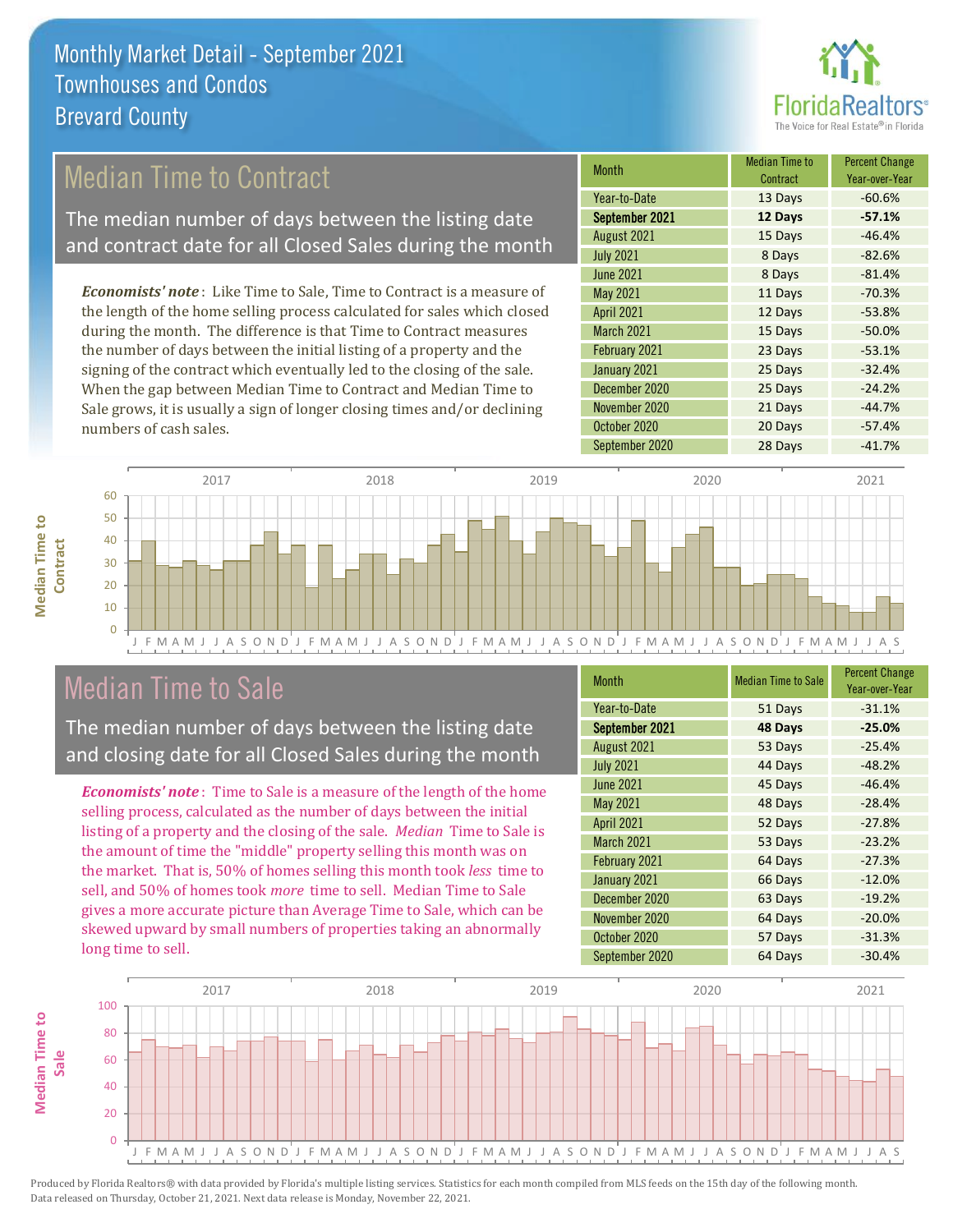

## Median Time to Contract

The median number of days between the listing date and contract date for all Closed Sales during the month

*Economists' note* : Like Time to Sale, Time to Contract is a measure of the length of the home selling process calculated for sales which closed during the month. The difference is that Time to Contract measures the number of days between the initial listing of a property and the signing of the contract which eventually led to the closing of the sale. When the gap between Median Time to Contract and Median Time to Sale grows, it is usually a sign of longer closing times and/or declining numbers of cash sales.

| <b>Month</b>      | <b>Median Time to</b><br>Contract | <b>Percent Change</b><br>Year-over-Year |
|-------------------|-----------------------------------|-----------------------------------------|
| Year-to-Date      | 13 Days                           | $-60.6%$                                |
| September 2021    | 12 Days                           | $-57.1%$                                |
| August 2021       | 15 Days                           | $-46.4%$                                |
| <b>July 2021</b>  | 8 Days                            | $-82.6%$                                |
| June 2021         | 8 Days                            | $-81.4%$                                |
| <b>May 2021</b>   | 11 Days                           | $-70.3%$                                |
| <b>April 2021</b> | 12 Days                           | $-53.8%$                                |
| <b>March 2021</b> | 15 Days                           | $-50.0%$                                |
| February 2021     | 23 Days                           | $-53.1%$                                |
| January 2021      | 25 Days                           | $-32.4%$                                |
| December 2020     | 25 Days                           | $-24.2%$                                |
| November 2020     | 21 Days                           | $-44.7%$                                |
| October 2020      | 20 Days                           | $-57.4%$                                |
| September 2020    | 28 Days                           | $-41.7%$                                |



## Median Time to Sale

**Median Time to Contract**

**Median Time to** 

The median number of days between the listing date and closing date for all Closed Sales during the month

*Economists' note* : Time to Sale is a measure of the length of the home selling process, calculated as the number of days between the initial listing of a property and the closing of the sale. *Median* Time to Sale is the amount of time the "middle" property selling this month was on the market. That is, 50% of homes selling this month took *less* time to sell, and 50% of homes took *more* time to sell. Median Time to Sale gives a more accurate picture than Average Time to Sale, which can be skewed upward by small numbers of properties taking an abnormally long time to sell.

| <b>Month</b>      | <b>Median Time to Sale</b> | <b>Percent Change</b><br>Year-over-Year |
|-------------------|----------------------------|-----------------------------------------|
| Year-to-Date      | 51 Days                    | $-31.1%$                                |
| September 2021    | 48 Days                    | $-25.0%$                                |
| August 2021       | 53 Days                    | $-25.4%$                                |
| <b>July 2021</b>  | 44 Days                    | $-48.2%$                                |
| <b>June 2021</b>  | 45 Days                    | $-46.4%$                                |
| May 2021          | 48 Days                    | $-28.4%$                                |
| <b>April 2021</b> | 52 Days                    | $-27.8%$                                |
| <b>March 2021</b> | 53 Days                    | $-23.2%$                                |
| February 2021     | 64 Days                    | $-27.3%$                                |
| January 2021      | 66 Days                    | $-12.0%$                                |
| December 2020     | 63 Days                    | $-19.2%$                                |
| November 2020     | 64 Days                    | $-20.0%$                                |
| October 2020      | 57 Days                    | $-31.3%$                                |
| September 2020    | 64 Days                    | $-30.4%$                                |

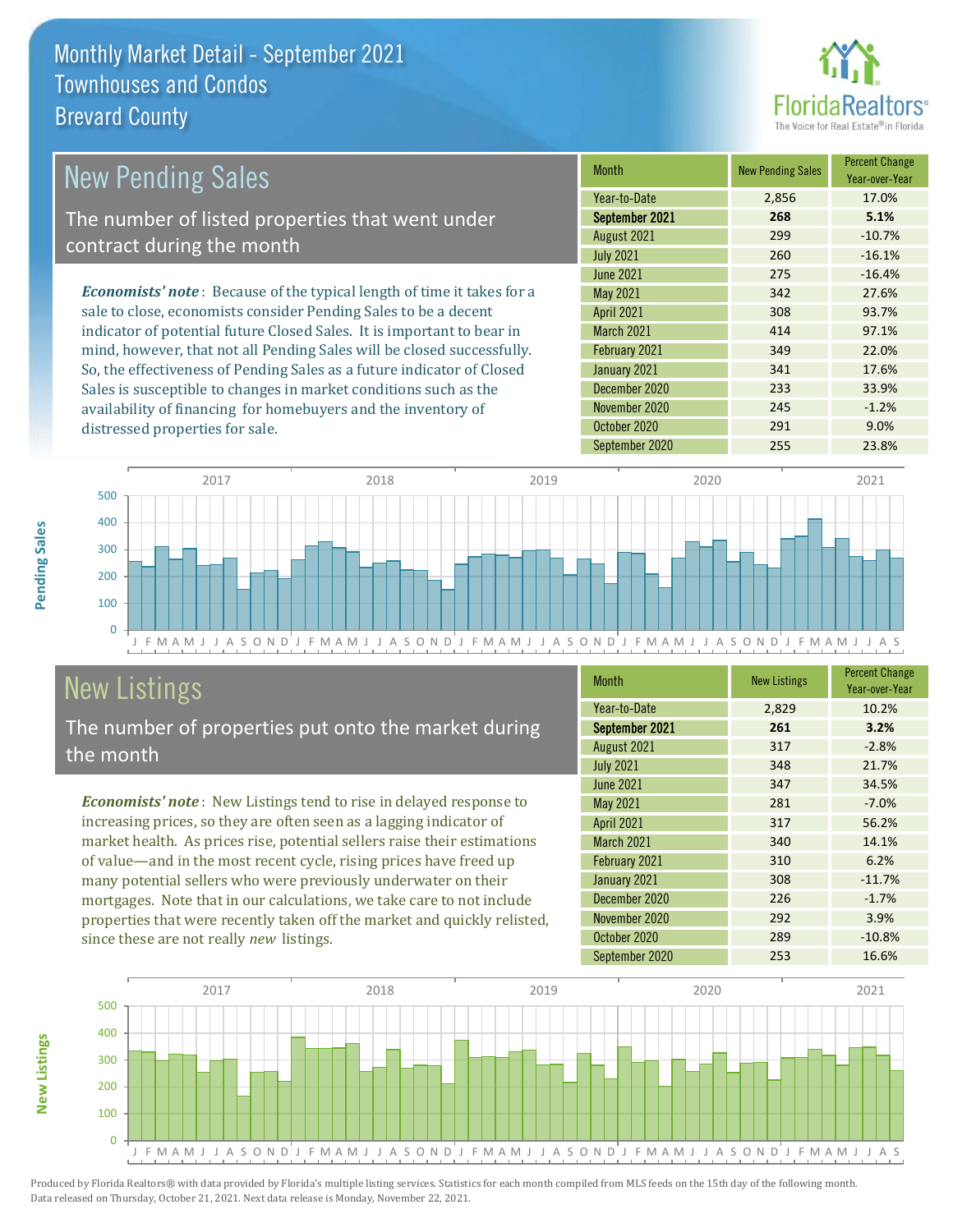

| New Pending Sales                                                              | <b>Month</b>      | <b>New Pending Sales</b> | <b>Percent Change</b><br>Year-over-Year |
|--------------------------------------------------------------------------------|-------------------|--------------------------|-----------------------------------------|
|                                                                                | Year-to-Date      | 2,856                    | 17.0%                                   |
| The number of listed properties that went under                                | September 2021    | 268                      | 5.1%                                    |
| contract during the month                                                      | August 2021       | 299                      | $-10.7%$                                |
|                                                                                | <b>July 2021</b>  | 260                      | $-16.1%$                                |
|                                                                                | June 2021         | 275                      | $-16.4%$                                |
| <b>Economists' note</b> : Because of the typical length of time it takes for a | May 2021          | 342                      | 27.6%                                   |
| sale to close, economists consider Pending Sales to be a decent                | <b>April 2021</b> | 308                      | 93.7%                                   |
| indicator of potential future Closed Sales. It is important to bear in         | <b>March 2021</b> | 414                      | 97.1%                                   |
| mind, however, that not all Pending Sales will be closed successfully.         | February 2021     | 349                      | 22.0%                                   |
| So, the effectiveness of Pending Sales as a future indicator of Closed         | January 2021      | 341                      | 17.6%                                   |
| Sales is susceptible to changes in market conditions such as the               | December 2020     | 233                      | 33.9%                                   |
| availability of financing for homebuyers and the inventory of                  | November 2020     | 245                      | $-1.2%$                                 |



# New Listings

distressed properties for sale.

The number of properties put onto the market during the month

*Economists' note* : New Listings tend to rise in delayed response to increasing prices, so they are often seen as a lagging indicator of market health. As prices rise, potential sellers raise their estimations of value—and in the most recent cycle, rising prices have freed up many potential sellers who were previously underwater on their mortgages. Note that in our calculations, we take care to not include properties that were recently taken off the market and quickly relisted, since these are not really *new* listings.

| <b>Month</b>      | <b>New Listings</b> | <b>Percent Change</b><br>Year-over-Year |
|-------------------|---------------------|-----------------------------------------|
| Year-to-Date      | 2,829               | 10.2%                                   |
| September 2021    | 261                 | 3.2%                                    |
| August 2021       | 317                 | $-2.8%$                                 |
| <b>July 2021</b>  | 348                 | 21.7%                                   |
| <b>June 2021</b>  | 347                 | 34.5%                                   |
| <b>May 2021</b>   | 281                 | $-7.0%$                                 |
| April 2021        | 317                 | 56.2%                                   |
| <b>March 2021</b> | 340                 | 14.1%                                   |
| February 2021     | 310                 | 6.2%                                    |
| January 2021      | 308                 | $-11.7%$                                |
| December 2020     | 226                 | $-1.7%$                                 |
| November 2020     | 292                 | 3.9%                                    |
| October 2020      | 289                 | $-10.8%$                                |
| September 2020    | 253                 | 16.6%                                   |

October 2020 291 291 9.0%



Produced by Florida Realtors® with data provided by Florida's multiple listing services. Statistics for each month compiled from MLS feeds on the 15th day of the following month. Data released on Thursday, October 21, 2021. Next data release is Monday, November 22, 2021.

**New Listings**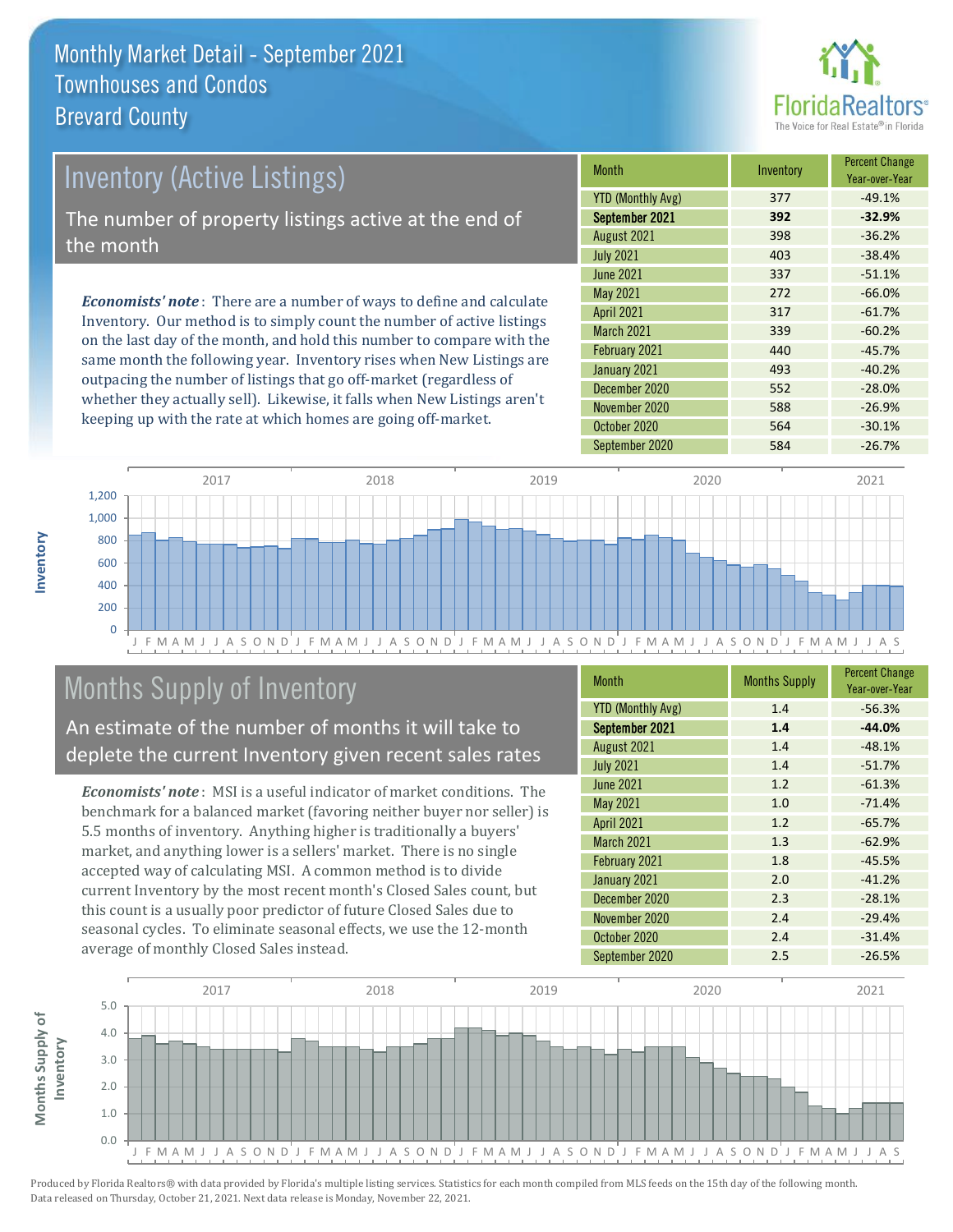

## *Economists' note* : There are a number of ways to define and calculate Inventory. Our method is to simply count the number of active listings Inventory (Active Listings) The number of property listings active at the end of the month

on the last day of the month, and hold this number to compare with the same month the following year. Inventory rises when New Listings are outpacing the number of listings that go off-market (regardless of whether they actually sell). Likewise, it falls when New Listings aren't keeping up with the rate at which homes are going off-market.

| Month                    | Inventory | <b>Percent Change</b><br>Year-over-Year |
|--------------------------|-----------|-----------------------------------------|
| <b>YTD (Monthly Avg)</b> | 377       | $-49.1%$                                |
| September 2021           | 392       | $-32.9%$                                |
| August 2021              | 398       | $-36.2%$                                |
| <b>July 2021</b>         | 403       | $-38.4%$                                |
| <b>June 2021</b>         | 337       | $-51.1%$                                |
| May 2021                 | 272       | $-66.0%$                                |
| <b>April 2021</b>        | 317       | $-61.7%$                                |
| <b>March 2021</b>        | 339       | $-60.2%$                                |
| February 2021            | 440       | $-45.7%$                                |
| January 2021             | 493       | $-40.2%$                                |
| December 2020            | 552       | $-28.0%$                                |
| November 2020            | 588       | $-26.9%$                                |
| October 2020             | 564       | $-30.1%$                                |
| September 2020           | 584       | $-26.7%$                                |



## Months Supply of Inventory

An estimate of the number of months it will take to deplete the current Inventory given recent sales rates

*Economists' note* : MSI is a useful indicator of market conditions. The benchmark for a balanced market (favoring neither buyer nor seller) is 5.5 months of inventory. Anything higher is traditionally a buyers' market, and anything lower is a sellers' market. There is no single accepted way of calculating MSI. A common method is to divide current Inventory by the most recent month's Closed Sales count, but this count is a usually poor predictor of future Closed Sales due to seasonal cycles. To eliminate seasonal effects, we use the 12-month average of monthly Closed Sales instead.

| <b>Month</b>             | <b>Months Supply</b> | <b>Percent Change</b><br>Year-over-Year |
|--------------------------|----------------------|-----------------------------------------|
| <b>YTD (Monthly Avg)</b> | 1.4                  | $-56.3%$                                |
| September 2021           | 1.4                  | $-44.0%$                                |
| August 2021              | 1.4                  | $-48.1%$                                |
| <b>July 2021</b>         | 1.4                  | $-51.7%$                                |
| <b>June 2021</b>         | 1.2                  | $-61.3%$                                |
| May 2021                 | 1.0                  | $-71.4%$                                |
| <b>April 2021</b>        | 1.2                  | $-65.7%$                                |
| <b>March 2021</b>        | 1.3                  | $-62.9%$                                |
| February 2021            | 1.8                  | $-45.5%$                                |
| January 2021             | 2.0                  | $-41.2%$                                |
| December 2020            | 2.3                  | $-28.1%$                                |
| November 2020            | 2.4                  | $-29.4%$                                |
| October 2020             | 2.4                  | $-31.4%$                                |
| September 2020           | 2.5                  | $-26.5%$                                |

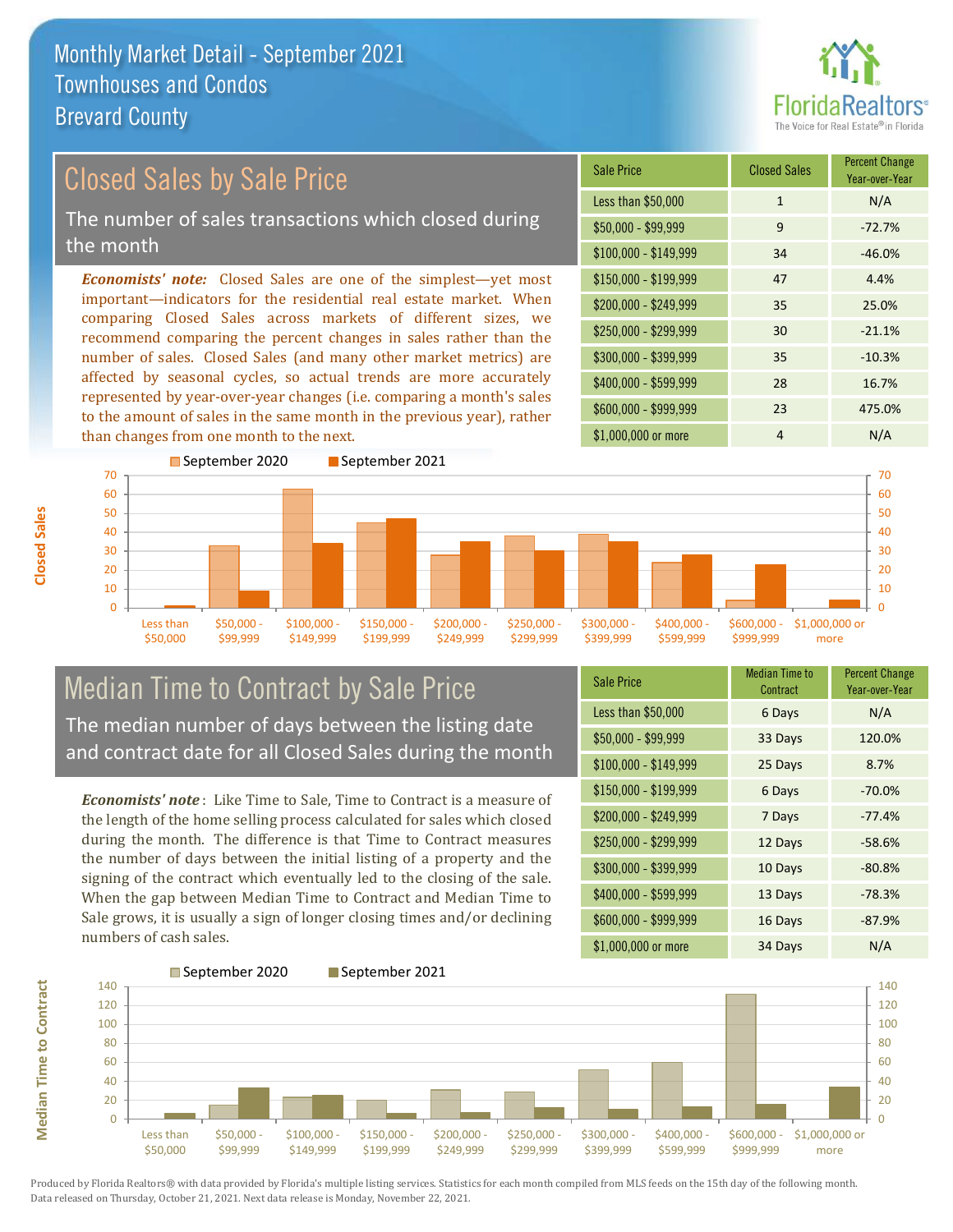

Year-over-Year

#### $$100,000 - $149,999$  34 -46.0% Sale Price Closed Sales Percent Change Less than  $$50,000$  1 N/A  $$50,000 - $99,999$  9 -72.7% \$150,000 - \$199,999 47 4.4% \$200,000 - \$249,999 35 25.0% \$400,000 - \$599,999 28 16.7% \$600,000 - \$999,999 23 475.0% *Economists' note:* Closed Sales are one of the simplest—yet most important—indicators for the residential real estate market. When comparing Closed Sales across markets of different sizes, we recommend comparing the percent changes in sales rather than the number of sales. Closed Sales (and many other market metrics) are affected by seasonal cycles, so actual trends are more accurately represented by year-over-year changes (i.e. comparing a month's sales to the amount of sales in the same month in the previous year), rather than changes from one month to the next. \$1,000,000 or more 4 N/A  $$250,000 - $299,999$  30 -21.1% \$300,000 - \$399,999 35 -10.3% September 2020 September 2021 Closed Sales by Sale Price The number of sales transactions which closed during the month



### Median Time to Contract by Sale Price The median number of days between the listing date and contract date for all Closed Sales during the month

*Economists' note* : Like Time to Sale, Time to Contract is a measure of the length of the home selling process calculated for sales which closed during the month. The difference is that Time to Contract measures the number of days between the initial listing of a property and the signing of the contract which eventually led to the closing of the sale. When the gap between Median Time to Contract and Median Time to Sale grows, it is usually a sign of longer closing times and/or declining numbers of cash sales.

| <b>Sale Price</b>     | <b>Median Time to</b><br>Contract | <b>Percent Change</b><br>Year-over-Year |
|-----------------------|-----------------------------------|-----------------------------------------|
| Less than \$50,000    | 6 Days                            | N/A                                     |
| $$50,000 - $99,999$   | 33 Days                           | 120.0%                                  |
| $$100,000 - $149,999$ | 25 Days                           | 8.7%                                    |
| \$150,000 - \$199,999 | 6 Days                            | $-70.0%$                                |
| \$200,000 - \$249,999 | 7 Days                            | $-77.4%$                                |
| \$250,000 - \$299,999 | 12 Days                           | $-58.6%$                                |
| \$300,000 - \$399,999 | 10 Days                           | $-80.8%$                                |
| \$400,000 - \$599,999 | 13 Days                           | $-78.3%$                                |
| \$600,000 - \$999,999 | 16 Days                           | $-87.9%$                                |
| \$1,000,000 or more   | 34 Days                           | N/A                                     |

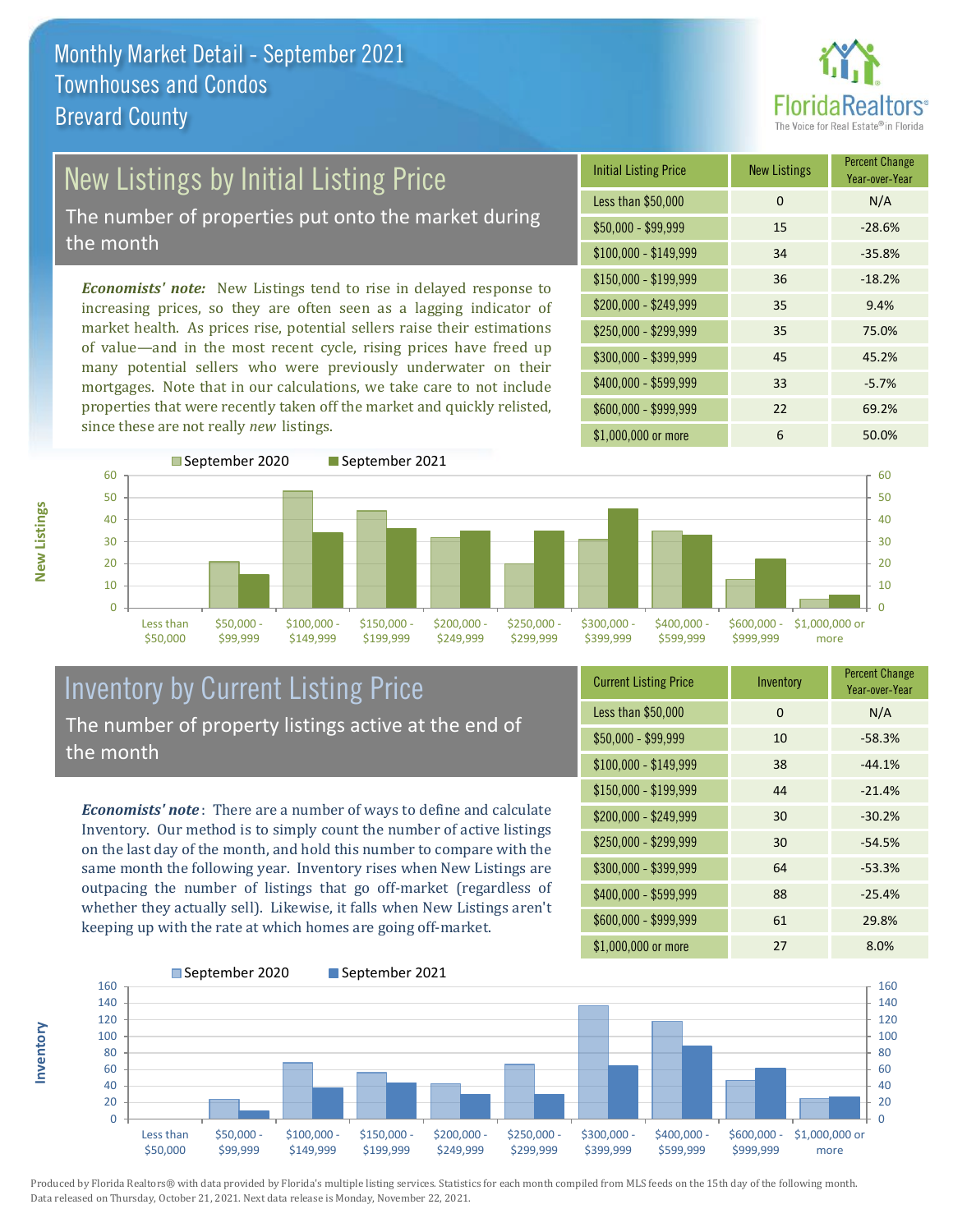

# New Listings by Initial Listing Price

The number of properties put onto the market during the month

*Economists' note:* New Listings tend to rise in delayed response to increasing prices, so they are often seen as a lagging indicator of market health. As prices rise, potential sellers raise their estimations of value—and in the most recent cycle, rising prices have freed up many potential sellers who were previously underwater on their mortgages. Note that in our calculations, we take care to not include properties that were recently taken off the market and quickly relisted, since these are not really *new* listings.





#### Inventory by Current Listing Price The number of property listings active at the end of the month

*Economists' note* : There are a number of ways to define and calculate Inventory. Our method is to simply count the number of active listings on the last day of the month, and hold this number to compare with the same month the following year. Inventory rises when New Listings are outpacing the number of listings that go off-market (regardless of whether they actually sell). Likewise, it falls when New Listings aren't keeping up with the rate at which homes are going off-market.

| <b>Current Listing Price</b> | Inventory | <b>Percent Change</b><br>Year-over-Year |
|------------------------------|-----------|-----------------------------------------|
| Less than \$50,000           | 0         | N/A                                     |
| $$50,000 - $99,999$          | 10        | $-58.3%$                                |
| $$100,000 - $149,999$        | 38        | $-44.1%$                                |
| $$150,000 - $199,999$        | 44        | $-21.4%$                                |
| \$200,000 - \$249,999        | 30        | $-30.2%$                                |
| \$250,000 - \$299,999        | 30        | $-54.5%$                                |
| \$300,000 - \$399,999        | 64        | $-53.3%$                                |
| \$400,000 - \$599,999        | 88        | $-25.4%$                                |
| \$600,000 - \$999,999        | 61        | 29.8%                                   |
| \$1,000,000 or more          | 27        | 8.0%                                    |



Produced by Florida Realtors® with data provided by Florida's multiple listing services. Statistics for each month compiled from MLS feeds on the 15th day of the following month. Data released on Thursday, October 21, 2021. Next data release is Monday, November 22, 2021.

**Inventory**